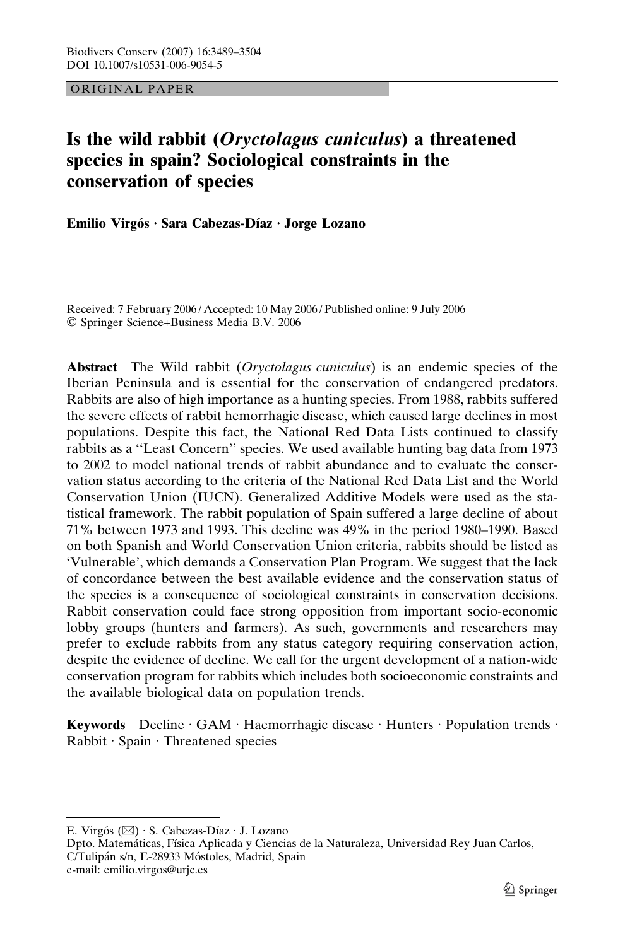ORIGINAL PAPER

# Is the wild rabbit (Oryctolagus cuniculus) a threatened species in spain? Sociological constraints in the conservation of species

Emilio Virgós · Sara Cabezas-Díaz · Jorge Lozano

Received: 7 February 2006 / Accepted: 10 May 2006 / Published online: 9 July 2006 Springer Science+Business Media B.V. 2006

**Abstract** The Wild rabbit (*Oryctolagus cuniculus*) is an endemic species of the Iberian Peninsula and is essential for the conservation of endangered predators. Rabbits are also of high importance as a hunting species. From 1988, rabbits suffered the severe effects of rabbit hemorrhagic disease, which caused large declines in most populations. Despite this fact, the National Red Data Lists continued to classify rabbits as a ''Least Concern'' species. We used available hunting bag data from 1973 to 2002 to model national trends of rabbit abundance and to evaluate the conservation status according to the criteria of the National Red Data List and the World Conservation Union (IUCN). Generalized Additive Models were used as the statistical framework. The rabbit population of Spain suffered a large decline of about 71% between 1973 and 1993. This decline was 49% in the period 1980–1990. Based on both Spanish and World Conservation Union criteria, rabbits should be listed as 'Vulnerable', which demands a Conservation Plan Program. We suggest that the lack of concordance between the best available evidence and the conservation status of the species is a consequence of sociological constraints in conservation decisions. Rabbit conservation could face strong opposition from important socio-economic lobby groups (hunters and farmers). As such, governments and researchers may prefer to exclude rabbits from any status category requiring conservation action, despite the evidence of decline. We call for the urgent development of a nation-wide conservation program for rabbits which includes both socioeconomic constraints and the available biological data on population trends.

**Keywords** Decline  $\cdot$  GAM  $\cdot$  Haemorrhagic disease  $\cdot$  Hunters  $\cdot$  Population trends  $\cdot$ Rabbit · Spain · Threatened species

E. Virgós  $(\boxtimes) \cdot$  S. Cabezas-Díaz  $\cdot$  J. Lozano

Dpto. Matemáticas, Física Aplicada y Ciencias de la Naturaleza, Universidad Rey Juan Carlos, C/Tulipán s/n, E-28933 Móstoles, Madrid, Spain e-mail: emilio.virgos@urjc.es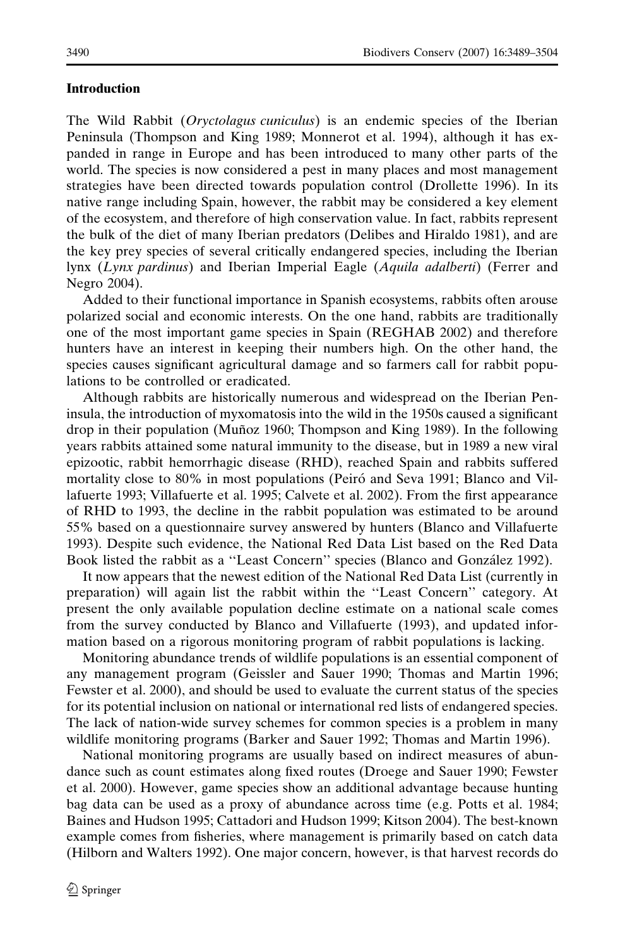#### Introduction

The Wild Rabbit (Oryctolagus cuniculus) is an endemic species of the Iberian Peninsula (Thompson and King 1989; Monnerot et al. 1994), although it has expanded in range in Europe and has been introduced to many other parts of the world. The species is now considered a pest in many places and most management strategies have been directed towards population control (Drollette 1996). In its native range including Spain, however, the rabbit may be considered a key element of the ecosystem, and therefore of high conservation value. In fact, rabbits represent the bulk of the diet of many Iberian predators (Delibes and Hiraldo 1981), and are the key prey species of several critically endangered species, including the Iberian lynx (Lynx pardinus) and Iberian Imperial Eagle (Aquila adalberti) (Ferrer and Negro 2004).

Added to their functional importance in Spanish ecosystems, rabbits often arouse polarized social and economic interests. On the one hand, rabbits are traditionally one of the most important game species in Spain (REGHAB 2002) and therefore hunters have an interest in keeping their numbers high. On the other hand, the species causes significant agricultural damage and so farmers call for rabbit populations to be controlled or eradicated.

Although rabbits are historically numerous and widespread on the Iberian Peninsula, the introduction of myxomatosis into the wild in the 1950s caused a significant drop in their population (Muñoz 1960; Thompson and King 1989). In the following years rabbits attained some natural immunity to the disease, but in 1989 a new viral epizootic, rabbit hemorrhagic disease (RHD), reached Spain and rabbits suffered mortality close to 80% in most populations (Peiró and Seva 1991; Blanco and Villafuerte 1993; Villafuerte et al. 1995; Calvete et al. 2002). From the first appearance of RHD to 1993, the decline in the rabbit population was estimated to be around 55% based on a questionnaire survey answered by hunters (Blanco and Villafuerte 1993). Despite such evidence, the National Red Data List based on the Red Data Book listed the rabbit as a "Least Concern" species (Blanco and González 1992).

It now appears that the newest edition of the National Red Data List (currently in preparation) will again list the rabbit within the ''Least Concern'' category. At present the only available population decline estimate on a national scale comes from the survey conducted by Blanco and Villafuerte (1993), and updated information based on a rigorous monitoring program of rabbit populations is lacking.

Monitoring abundance trends of wildlife populations is an essential component of any management program (Geissler and Sauer 1990; Thomas and Martin 1996; Fewster et al. 2000), and should be used to evaluate the current status of the species for its potential inclusion on national or international red lists of endangered species. The lack of nation-wide survey schemes for common species is a problem in many wildlife monitoring programs (Barker and Sauer 1992; Thomas and Martin 1996).

National monitoring programs are usually based on indirect measures of abundance such as count estimates along fixed routes (Droege and Sauer 1990; Fewster et al. 2000). However, game species show an additional advantage because hunting bag data can be used as a proxy of abundance across time (e.g. Potts et al. 1984; Baines and Hudson 1995; Cattadori and Hudson 1999; Kitson 2004). The best-known example comes from fisheries, where management is primarily based on catch data (Hilborn and Walters 1992). One major concern, however, is that harvest records do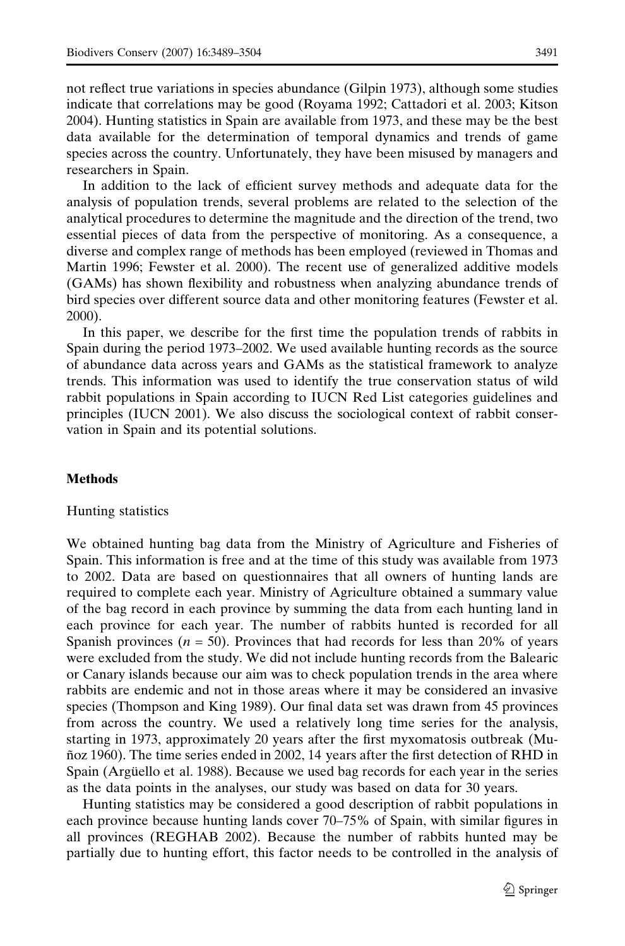not reflect true variations in species abundance (Gilpin 1973), although some studies indicate that correlations may be good (Royama 1992; Cattadori et al. 2003; Kitson 2004). Hunting statistics in Spain are available from 1973, and these may be the best data available for the determination of temporal dynamics and trends of game species across the country. Unfortunately, they have been misused by managers and researchers in Spain.

In addition to the lack of efficient survey methods and adequate data for the analysis of population trends, several problems are related to the selection of the analytical procedures to determine the magnitude and the direction of the trend, two essential pieces of data from the perspective of monitoring. As a consequence, a diverse and complex range of methods has been employed (reviewed in Thomas and Martin 1996; Fewster et al. 2000). The recent use of generalized additive models (GAMs) has shown flexibility and robustness when analyzing abundance trends of bird species over different source data and other monitoring features (Fewster et al. 2000).

In this paper, we describe for the first time the population trends of rabbits in Spain during the period 1973–2002. We used available hunting records as the source of abundance data across years and GAMs as the statistical framework to analyze trends. This information was used to identify the true conservation status of wild rabbit populations in Spain according to IUCN Red List categories guidelines and principles (IUCN 2001). We also discuss the sociological context of rabbit conservation in Spain and its potential solutions.

# **Methods**

### Hunting statistics

We obtained hunting bag data from the Ministry of Agriculture and Fisheries of Spain. This information is free and at the time of this study was available from 1973 to 2002. Data are based on questionnaires that all owners of hunting lands are required to complete each year. Ministry of Agriculture obtained a summary value of the bag record in each province by summing the data from each hunting land in each province for each year. The number of rabbits hunted is recorded for all Spanish provinces ( $n = 50$ ). Provinces that had records for less than 20% of years were excluded from the study. We did not include hunting records from the Balearic or Canary islands because our aim was to check population trends in the area where rabbits are endemic and not in those areas where it may be considered an invasive species (Thompson and King 1989). Our final data set was drawn from 45 provinces from across the country. We used a relatively long time series for the analysis, starting in 1973, approximately 20 years after the first myxomatosis outbreak (Munoz 1960). The time series ended in 2002, 14 years after the first detection of RHD in Spain (Arguello et al. 1988). Because we used bag records for each year in the series as the data points in the analyses, our study was based on data for 30 years.

Hunting statistics may be considered a good description of rabbit populations in each province because hunting lands cover 70–75% of Spain, with similar figures in all provinces (REGHAB 2002). Because the number of rabbits hunted may be partially due to hunting effort, this factor needs to be controlled in the analysis of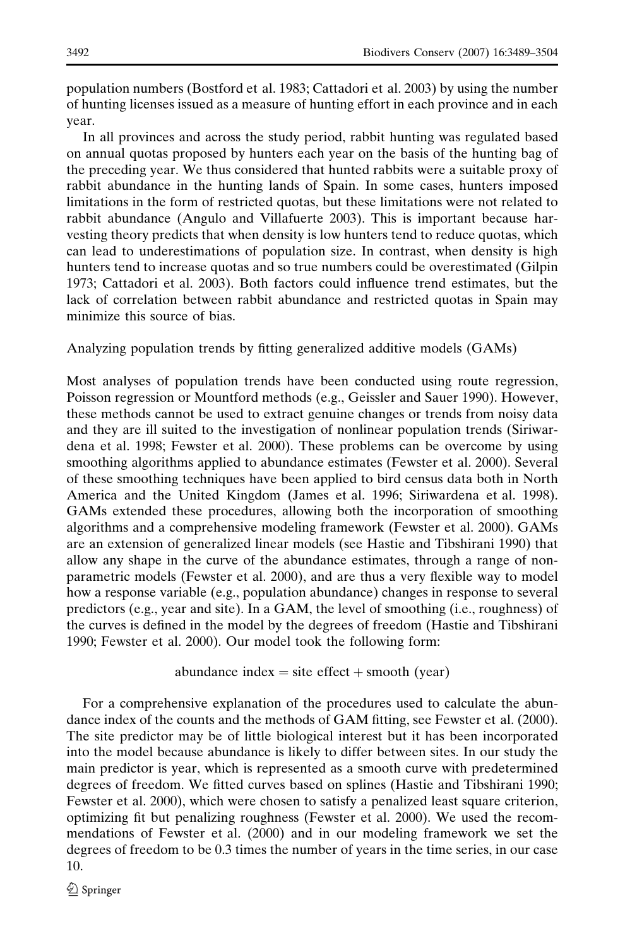population numbers (Bostford et al. 1983; Cattadori et al. 2003) by using the number of hunting licenses issued as a measure of hunting effort in each province and in each year.

In all provinces and across the study period, rabbit hunting was regulated based on annual quotas proposed by hunters each year on the basis of the hunting bag of the preceding year. We thus considered that hunted rabbits were a suitable proxy of rabbit abundance in the hunting lands of Spain. In some cases, hunters imposed limitations in the form of restricted quotas, but these limitations were not related to rabbit abundance (Angulo and Villafuerte 2003). This is important because harvesting theory predicts that when density is low hunters tend to reduce quotas, which can lead to underestimations of population size. In contrast, when density is high hunters tend to increase quotas and so true numbers could be overestimated (Gilpin 1973; Cattadori et al. 2003). Both factors could influence trend estimates, but the lack of correlation between rabbit abundance and restricted quotas in Spain may minimize this source of bias.

Analyzing population trends by fitting generalized additive models (GAMs)

Most analyses of population trends have been conducted using route regression, Poisson regression or Mountford methods (e.g., Geissler and Sauer 1990). However, these methods cannot be used to extract genuine changes or trends from noisy data and they are ill suited to the investigation of nonlinear population trends (Siriwardena et al. 1998; Fewster et al. 2000). These problems can be overcome by using smoothing algorithms applied to abundance estimates (Fewster et al. 2000). Several of these smoothing techniques have been applied to bird census data both in North America and the United Kingdom (James et al. 1996; Siriwardena et al. 1998). GAMs extended these procedures, allowing both the incorporation of smoothing algorithms and a comprehensive modeling framework (Fewster et al. 2000). GAMs are an extension of generalized linear models (see Hastie and Tibshirani 1990) that allow any shape in the curve of the abundance estimates, through a range of nonparametric models (Fewster et al. 2000), and are thus a very flexible way to model how a response variable (e.g., population abundance) changes in response to several predictors (e.g., year and site). In a GAM, the level of smoothing (i.e., roughness) of the curves is defined in the model by the degrees of freedom (Hastie and Tibshirani 1990; Fewster et al. 2000). Our model took the following form:

abundance index  $=$  site effect  $+$  smooth (year)

For a comprehensive explanation of the procedures used to calculate the abundance index of the counts and the methods of GAM fitting, see Fewster et al. (2000). The site predictor may be of little biological interest but it has been incorporated into the model because abundance is likely to differ between sites. In our study the main predictor is year, which is represented as a smooth curve with predetermined degrees of freedom. We fitted curves based on splines (Hastie and Tibshirani 1990; Fewster et al. 2000), which were chosen to satisfy a penalized least square criterion, optimizing fit but penalizing roughness (Fewster et al. 2000). We used the recommendations of Fewster et al. (2000) and in our modeling framework we set the degrees of freedom to be 0.3 times the number of years in the time series, in our case 10.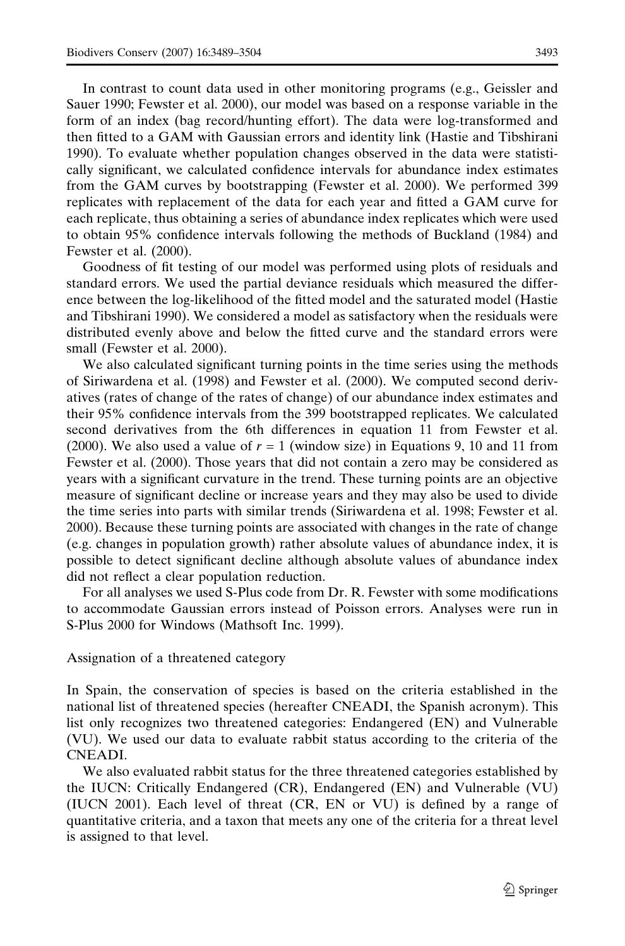In contrast to count data used in other monitoring programs (e.g., Geissler and Sauer 1990; Fewster et al. 2000), our model was based on a response variable in the form of an index (bag record/hunting effort). The data were log-transformed and then fitted to a GAM with Gaussian errors and identity link (Hastie and Tibshirani 1990). To evaluate whether population changes observed in the data were statistically significant, we calculated confidence intervals for abundance index estimates from the GAM curves by bootstrapping (Fewster et al. 2000). We performed 399 replicates with replacement of the data for each year and fitted a GAM curve for each replicate, thus obtaining a series of abundance index replicates which were used to obtain 95% confidence intervals following the methods of Buckland (1984) and Fewster et al. (2000).

Goodness of fit testing of our model was performed using plots of residuals and standard errors. We used the partial deviance residuals which measured the difference between the log-likelihood of the fitted model and the saturated model (Hastie and Tibshirani 1990). We considered a model as satisfactory when the residuals were distributed evenly above and below the fitted curve and the standard errors were small (Fewster et al. 2000).

We also calculated significant turning points in the time series using the methods of Siriwardena et al. (1998) and Fewster et al. (2000). We computed second derivatives (rates of change of the rates of change) of our abundance index estimates and their 95% confidence intervals from the 399 bootstrapped replicates. We calculated second derivatives from the 6th differences in equation 11 from Fewster et al. (2000). We also used a value of  $r = 1$  (window size) in Equations 9, 10 and 11 from Fewster et al. (2000). Those years that did not contain a zero may be considered as years with a significant curvature in the trend. These turning points are an objective measure of significant decline or increase years and they may also be used to divide the time series into parts with similar trends (Siriwardena et al. 1998; Fewster et al. 2000). Because these turning points are associated with changes in the rate of change (e.g. changes in population growth) rather absolute values of abundance index, it is possible to detect significant decline although absolute values of abundance index did not reflect a clear population reduction.

For all analyses we used S-Plus code from Dr. R. Fewster with some modifications to accommodate Gaussian errors instead of Poisson errors. Analyses were run in S-Plus 2000 for Windows (Mathsoft Inc. 1999).

Assignation of a threatened category

In Spain, the conservation of species is based on the criteria established in the national list of threatened species (hereafter CNEADI, the Spanish acronym). This list only recognizes two threatened categories: Endangered (EN) and Vulnerable (VU). We used our data to evaluate rabbit status according to the criteria of the CNEADI.

We also evaluated rabbit status for the three threatened categories established by the IUCN: Critically Endangered (CR), Endangered (EN) and Vulnerable (VU) (IUCN 2001). Each level of threat (CR, EN or VU) is defined by a range of quantitative criteria, and a taxon that meets any one of the criteria for a threat level is assigned to that level.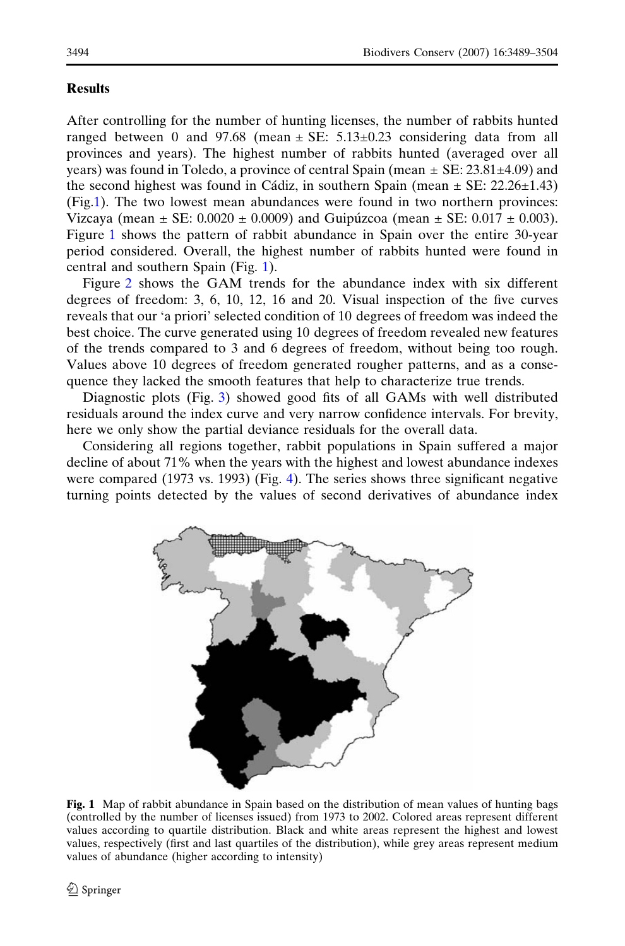# **Results**

After controlling for the number of hunting licenses, the number of rabbits hunted ranged between 0 and 97.68 (mean  $\pm$  SE: 5.13 $\pm$ 0.23 considering data from all provinces and years). The highest number of rabbits hunted (averaged over all years) was found in Toledo, a province of central Spain (mean  $\pm$  SE: 23.81 $\pm$ 4.09) and the second highest was found in Cádiz, in southern Spain (mean  $\pm$  SE: 22.26 $\pm$ 1.43) (Fig.1). The two lowest mean abundances were found in two northern provinces: Vizcaya (mean  $\pm$  SE: 0.0020  $\pm$  0.0009) and Guipúzcoa (mean  $\pm$  SE: 0.017  $\pm$  0.003). Figure 1 shows the pattern of rabbit abundance in Spain over the entire 30-year period considered. Overall, the highest number of rabbits hunted were found in central and southern Spain (Fig. 1).

Figure 2 shows the GAM trends for the abundance index with six different degrees of freedom: 3, 6, 10, 12, 16 and 20. Visual inspection of the five curves reveals that our 'a priori' selected condition of 10 degrees of freedom was indeed the best choice. The curve generated using 10 degrees of freedom revealed new features of the trends compared to 3 and 6 degrees of freedom, without being too rough. Values above 10 degrees of freedom generated rougher patterns, and as a consequence they lacked the smooth features that help to characterize true trends.

Diagnostic plots (Fig. 3) showed good fits of all GAMs with well distributed residuals around the index curve and very narrow confidence intervals. For brevity, here we only show the partial deviance residuals for the overall data.

Considering all regions together, rabbit populations in Spain suffered a major decline of about 71% when the years with the highest and lowest abundance indexes were compared (1973 vs. 1993) (Fig. 4). The series shows three significant negative turning points detected by the values of second derivatives of abundance index



Fig. 1 Map of rabbit abundance in Spain based on the distribution of mean values of hunting bags (controlled by the number of licenses issued) from 1973 to 2002. Colored areas represent different values according to quartile distribution. Black and white areas represent the highest and lowest values, respectively (first and last quartiles of the distribution), while grey areas represent medium values of abundance (higher according to intensity)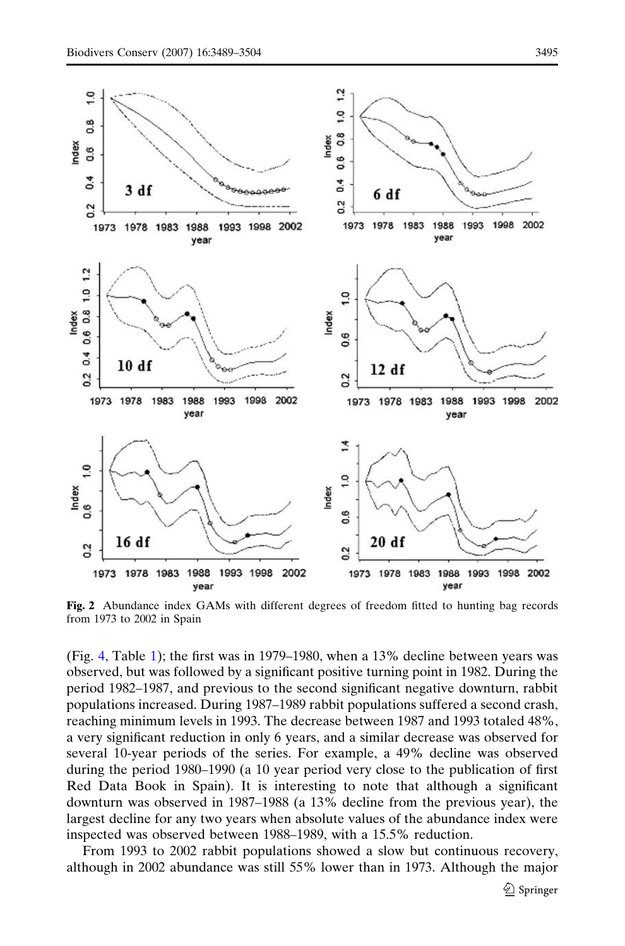

Fig. 2 Abundance index GAMs with different degrees of freedom fitted to hunting bag records from 1973 to 2002 in Spain

(Fig. 4, Table 1); the first was in 1979–1980, when a 13% decline between years was observed, but was followed by a significant positive turning point in 1982. During the period 1982–1987, and previous to the second significant negative downturn, rabbit populations increased. During 1987–1989 rabbit populations suffered a second crash, reaching minimum levels in 1993. The decrease between 1987 and 1993 totaled 48%, a very significant reduction in only 6 years, and a similar decrease was observed for several 10-year periods of the series. For example, a 49% decline was observed during the period 1980–1990 (a 10 year period very close to the publication of first Red Data Book in Spain). It is interesting to note that although a significant downturn was observed in 1987–1988 (a 13% decline from the previous year), the largest decline for any two years when absolute values of the abundance index were inspected was observed between 1988–1989, with a 15.5% reduction.

From 1993 to 2002 rabbit populations showed a slow but continuous recovery, although in 2002 abundance was still 55% lower than in 1973. Although the major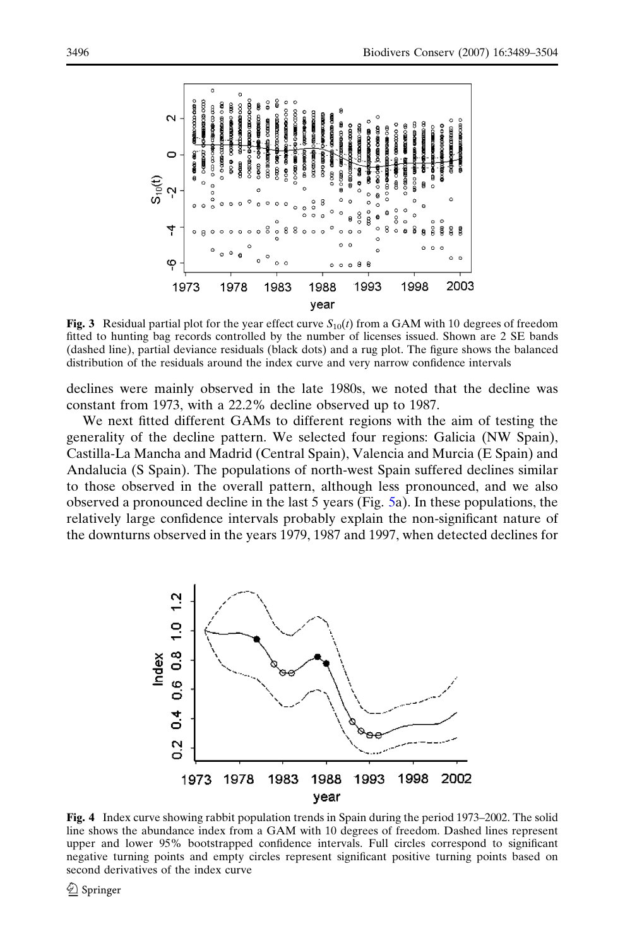

Fig. 3 Residual partial plot for the year effect curve  $S_{10}(t)$  from a GAM with 10 degrees of freedom fitted to hunting bag records controlled by the number of licenses issued. Shown are 2 SE bands (dashed line), partial deviance residuals (black dots) and a rug plot. The figure shows the balanced distribution of the residuals around the index curve and very narrow confidence intervals

declines were mainly observed in the late 1980s, we noted that the decline was constant from 1973, with a 22.2% decline observed up to 1987.

We next fitted different GAMs to different regions with the aim of testing the generality of the decline pattern. We selected four regions: Galicia (NW Spain), Castilla-La Mancha and Madrid (Central Spain), Valencia and Murcia (E Spain) and Andalucia (S Spain). The populations of north-west Spain suffered declines similar to those observed in the overall pattern, although less pronounced, and we also observed a pronounced decline in the last 5 years (Fig. 5a). In these populations, the relatively large confidence intervals probably explain the non-significant nature of the downturns observed in the years 1979, 1987 and 1997, when detected declines for



Fig. 4 Index curve showing rabbit population trends in Spain during the period 1973–2002. The solid line shows the abundance index from a GAM with 10 degrees of freedom. Dashed lines represent upper and lower 95% bootstrapped confidence intervals. Full circles correspond to significant negative turning points and empty circles represent significant positive turning points based on second derivatives of the index curve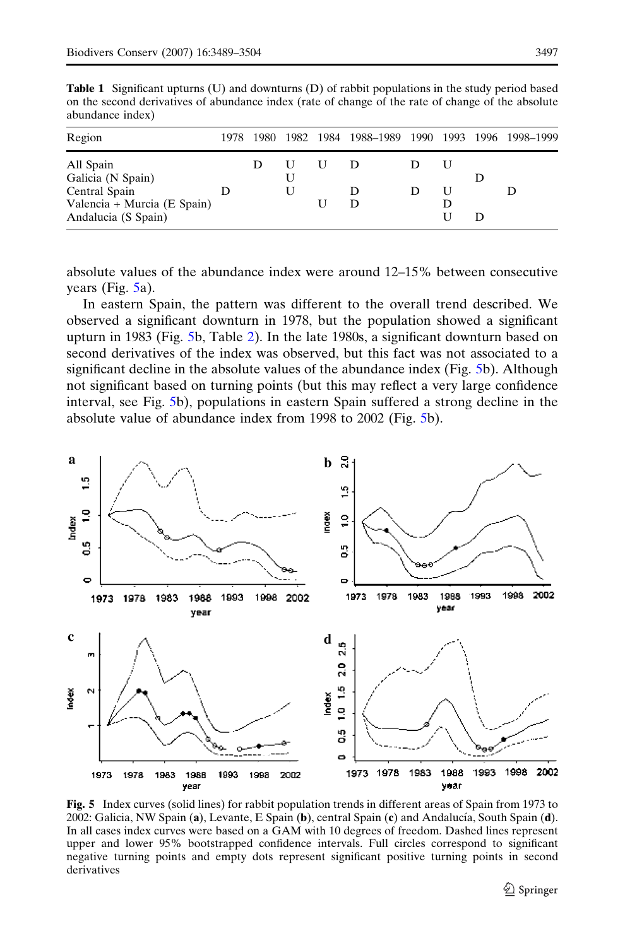Table 1 Significant upturns (U) and downturns (D) of rabbit populations in the study period based on the second derivatives of abundance index (rate of change of the rate of change of the absolute abundance index)

| Region                                                                                                |  |        |     | 1978 1980 1982 1984 1988–1989 1990 1993 1996 1998–1999 |        |  |
|-------------------------------------------------------------------------------------------------------|--|--------|-----|--------------------------------------------------------|--------|--|
| All Spain<br>Galicia (N Spain)<br>Central Spain<br>Valencia + Murcia (E Spain)<br>Andalucia (S Spain) |  | $\cup$ | . U | - 1)<br>Ð                                              | U<br>U |  |

absolute values of the abundance index were around 12–15% between consecutive years (Fig. 5a).

In eastern Spain, the pattern was different to the overall trend described. We observed a significant downturn in 1978, but the population showed a significant upturn in 1983 (Fig. 5b, Table 2). In the late 1980s, a significant downturn based on second derivatives of the index was observed, but this fact was not associated to a significant decline in the absolute values of the abundance index (Fig. 5b). Although not significant based on turning points (but this may reflect a very large confidence interval, see Fig. 5b), populations in eastern Spain suffered a strong decline in the absolute value of abundance index from 1998 to 2002 (Fig. 5b).



Fig. 5 Index curves (solid lines) for rabbit population trends in different areas of Spain from 1973 to 2002: Galicia, NW Spain (a), Levante, E Spain (b), central Spain (c) and Andalucía, South Spain (d). In all cases index curves were based on a GAM with 10 degrees of freedom. Dashed lines represent upper and lower 95% bootstrapped confidence intervals. Full circles correspond to significant negative turning points and empty dots represent significant positive turning points in second derivatives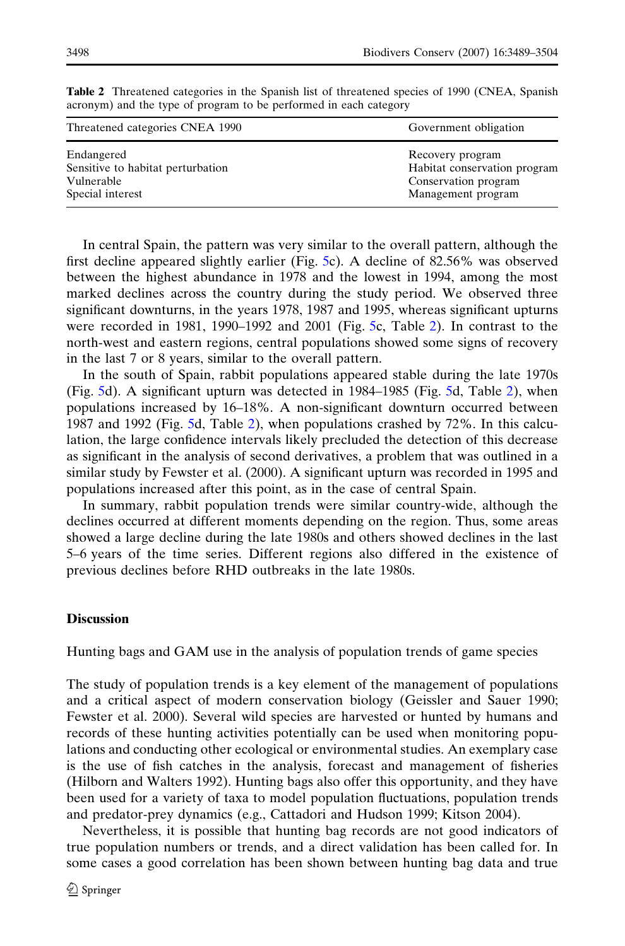| Government obligation        |  |  |  |  |
|------------------------------|--|--|--|--|
| Recovery program             |  |  |  |  |
| Habitat conservation program |  |  |  |  |
| Conservation program         |  |  |  |  |
| Management program           |  |  |  |  |
|                              |  |  |  |  |

Table 2 Threatened categories in the Spanish list of threatened species of 1990 (CNEA, Spanish acronym) and the type of program to be performed in each category

In central Spain, the pattern was very similar to the overall pattern, although the first decline appeared slightly earlier (Fig. 5c). A decline of 82.56% was observed between the highest abundance in 1978 and the lowest in 1994, among the most marked declines across the country during the study period. We observed three significant downturns, in the years 1978, 1987 and 1995, whereas significant upturns were recorded in 1981, 1990–1992 and 2001 (Fig. 5c, Table 2). In contrast to the north-west and eastern regions, central populations showed some signs of recovery in the last 7 or 8 years, similar to the overall pattern.

In the south of Spain, rabbit populations appeared stable during the late 1970s (Fig. 5d). A significant upturn was detected in 1984–1985 (Fig. 5d, Table 2), when populations increased by 16–18%. A non-significant downturn occurred between 1987 and 1992 (Fig. 5d, Table 2), when populations crashed by 72%. In this calculation, the large confidence intervals likely precluded the detection of this decrease as significant in the analysis of second derivatives, a problem that was outlined in a similar study by Fewster et al. (2000). A significant upturn was recorded in 1995 and populations increased after this point, as in the case of central Spain.

In summary, rabbit population trends were similar country-wide, although the declines occurred at different moments depending on the region. Thus, some areas showed a large decline during the late 1980s and others showed declines in the last 5–6 years of the time series. Different regions also differed in the existence of previous declines before RHD outbreaks in the late 1980s.

### **Discussion**

Hunting bags and GAM use in the analysis of population trends of game species

The study of population trends is a key element of the management of populations and a critical aspect of modern conservation biology (Geissler and Sauer 1990; Fewster et al. 2000). Several wild species are harvested or hunted by humans and records of these hunting activities potentially can be used when monitoring populations and conducting other ecological or environmental studies. An exemplary case is the use of fish catches in the analysis, forecast and management of fisheries (Hilborn and Walters 1992). Hunting bags also offer this opportunity, and they have been used for a variety of taxa to model population fluctuations, population trends and predator-prey dynamics (e.g., Cattadori and Hudson 1999; Kitson 2004).

Nevertheless, it is possible that hunting bag records are not good indicators of true population numbers or trends, and a direct validation has been called for. In some cases a good correlation has been shown between hunting bag data and true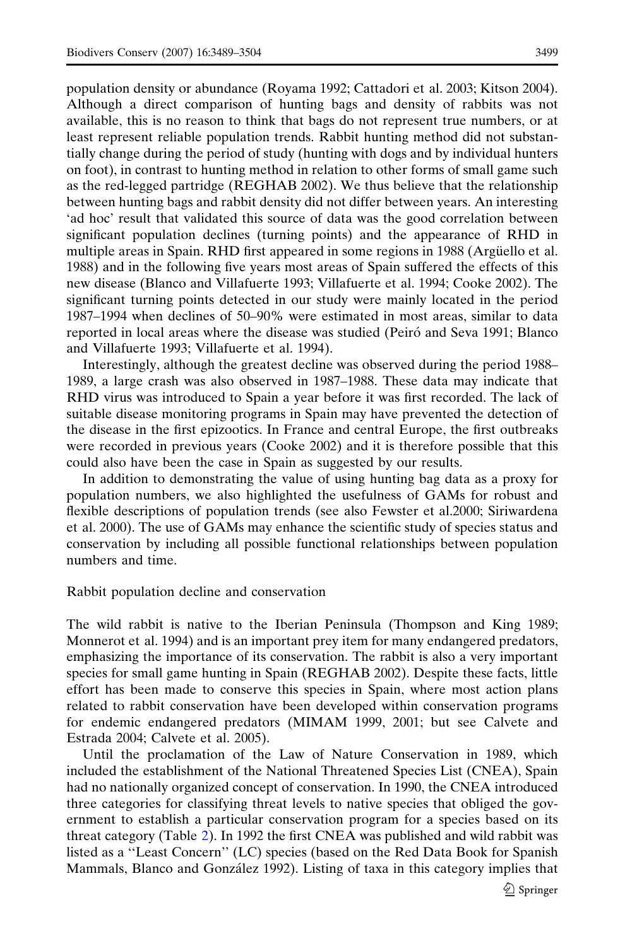population density or abundance (Royama 1992; Cattadori et al. 2003; Kitson 2004). Although a direct comparison of hunting bags and density of rabbits was not available, this is no reason to think that bags do not represent true numbers, or at least represent reliable population trends. Rabbit hunting method did not substantially change during the period of study (hunting with dogs and by individual hunters on foot), in contrast to hunting method in relation to other forms of small game such as the red-legged partridge (REGHAB 2002). We thus believe that the relationship between hunting bags and rabbit density did not differ between years. An interesting 'ad hoc' result that validated this source of data was the good correlation between significant population declines (turning points) and the appearance of RHD in multiple areas in Spain. RHD first appeared in some regions in 1988 (Argüello et al. 1988) and in the following five years most areas of Spain suffered the effects of this new disease (Blanco and Villafuerte 1993; Villafuerte et al. 1994; Cooke 2002). The significant turning points detected in our study were mainly located in the period 1987–1994 when declines of 50–90% were estimated in most areas, similar to data reported in local areas where the disease was studied (Peiró and Seva 1991; Blanco and Villafuerte 1993; Villafuerte et al. 1994).

Interestingly, although the greatest decline was observed during the period 1988– 1989, a large crash was also observed in 1987–1988. These data may indicate that RHD virus was introduced to Spain a year before it was first recorded. The lack of suitable disease monitoring programs in Spain may have prevented the detection of the disease in the first epizootics. In France and central Europe, the first outbreaks were recorded in previous years (Cooke 2002) and it is therefore possible that this could also have been the case in Spain as suggested by our results.

In addition to demonstrating the value of using hunting bag data as a proxy for population numbers, we also highlighted the usefulness of GAMs for robust and flexible descriptions of population trends (see also Fewster et al.2000; Siriwardena et al. 2000). The use of GAMs may enhance the scientific study of species status and conservation by including all possible functional relationships between population numbers and time.

Rabbit population decline and conservation

The wild rabbit is native to the Iberian Peninsula (Thompson and King 1989; Monnerot et al. 1994) and is an important prey item for many endangered predators, emphasizing the importance of its conservation. The rabbit is also a very important species for small game hunting in Spain (REGHAB 2002). Despite these facts, little effort has been made to conserve this species in Spain, where most action plans related to rabbit conservation have been developed within conservation programs for endemic endangered predators (MIMAM 1999, 2001; but see Calvete and Estrada 2004; Calvete et al. 2005).

Until the proclamation of the Law of Nature Conservation in 1989, which included the establishment of the National Threatened Species List (CNEA), Spain had no nationally organized concept of conservation. In 1990, the CNEA introduced three categories for classifying threat levels to native species that obliged the government to establish a particular conservation program for a species based on its threat category (Table 2). In 1992 the first CNEA was published and wild rabbit was listed as a ''Least Concern'' (LC) species (based on the Red Data Book for Spanish Mammals, Blanco and González 1992). Listing of taxa in this category implies that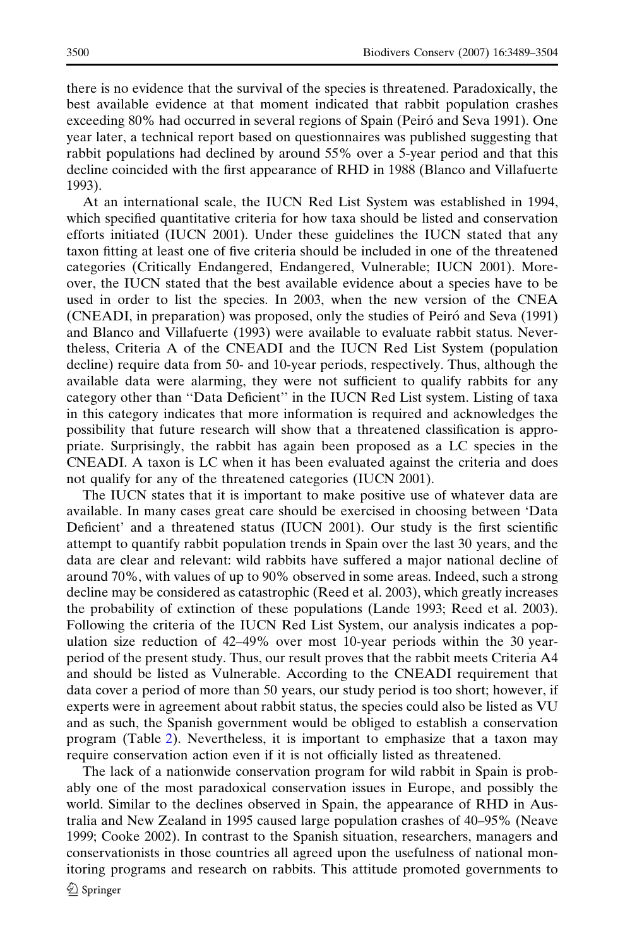there is no evidence that the survival of the species is threatened. Paradoxically, the best available evidence at that moment indicated that rabbit population crashes exceeding 80% had occurred in several regions of Spain (Peiró and Seva 1991). One year later, a technical report based on questionnaires was published suggesting that rabbit populations had declined by around 55% over a 5-year period and that this decline coincided with the first appearance of RHD in 1988 (Blanco and Villafuerte 1993).

At an international scale, the IUCN Red List System was established in 1994, which specified quantitative criteria for how taxa should be listed and conservation efforts initiated (IUCN 2001). Under these guidelines the IUCN stated that any taxon fitting at least one of five criteria should be included in one of the threatened categories (Critically Endangered, Endangered, Vulnerable; IUCN 2001). Moreover, the IUCN stated that the best available evidence about a species have to be used in order to list the species. In 2003, when the new version of the CNEA (CNEADI, in preparation) was proposed, only the studies of Peiró and Seva (1991) and Blanco and Villafuerte (1993) were available to evaluate rabbit status. Nevertheless, Criteria A of the CNEADI and the IUCN Red List System (population decline) require data from 50- and 10-year periods, respectively. Thus, although the available data were alarming, they were not sufficient to qualify rabbits for any category other than ''Data Deficient'' in the IUCN Red List system. Listing of taxa in this category indicates that more information is required and acknowledges the possibility that future research will show that a threatened classification is appropriate. Surprisingly, the rabbit has again been proposed as a LC species in the CNEADI. A taxon is LC when it has been evaluated against the criteria and does not qualify for any of the threatened categories (IUCN 2001).

The IUCN states that it is important to make positive use of whatever data are available. In many cases great care should be exercised in choosing between 'Data Deficient' and a threatened status (IUCN 2001). Our study is the first scientific attempt to quantify rabbit population trends in Spain over the last 30 years, and the data are clear and relevant: wild rabbits have suffered a major national decline of around 70%, with values of up to 90% observed in some areas. Indeed, such a strong decline may be considered as catastrophic (Reed et al. 2003), which greatly increases the probability of extinction of these populations (Lande 1993; Reed et al. 2003). Following the criteria of the IUCN Red List System, our analysis indicates a population size reduction of 42–49% over most 10-year periods within the 30 yearperiod of the present study. Thus, our result proves that the rabbit meets Criteria A4 and should be listed as Vulnerable. According to the CNEADI requirement that data cover a period of more than 50 years, our study period is too short; however, if experts were in agreement about rabbit status, the species could also be listed as VU and as such, the Spanish government would be obliged to establish a conservation program (Table 2). Nevertheless, it is important to emphasize that a taxon may require conservation action even if it is not officially listed as threatened.

The lack of a nationwide conservation program for wild rabbit in Spain is probably one of the most paradoxical conservation issues in Europe, and possibly the world. Similar to the declines observed in Spain, the appearance of RHD in Australia and New Zealand in 1995 caused large population crashes of 40–95% (Neave 1999; Cooke 2002). In contrast to the Spanish situation, researchers, managers and conservationists in those countries all agreed upon the usefulness of national monitoring programs and research on rabbits. This attitude promoted governments to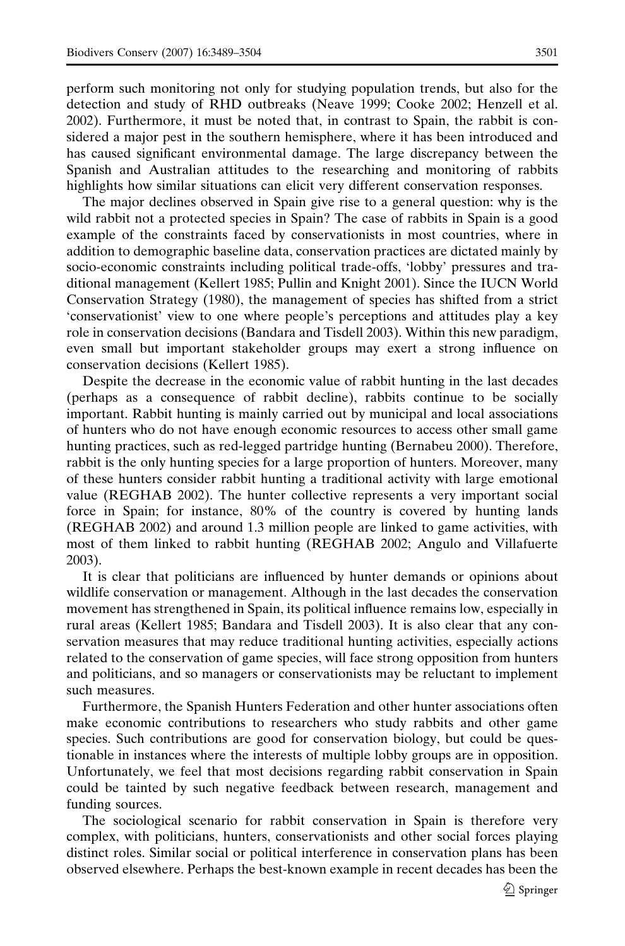perform such monitoring not only for studying population trends, but also for the detection and study of RHD outbreaks (Neave 1999; Cooke 2002; Henzell et al. 2002). Furthermore, it must be noted that, in contrast to Spain, the rabbit is considered a major pest in the southern hemisphere, where it has been introduced and has caused significant environmental damage. The large discrepancy between the Spanish and Australian attitudes to the researching and monitoring of rabbits highlights how similar situations can elicit very different conservation responses.

The major declines observed in Spain give rise to a general question: why is the wild rabbit not a protected species in Spain? The case of rabbits in Spain is a good example of the constraints faced by conservationists in most countries, where in addition to demographic baseline data, conservation practices are dictated mainly by socio-economic constraints including political trade-offs, 'lobby' pressures and traditional management (Kellert 1985; Pullin and Knight 2001). Since the IUCN World Conservation Strategy (1980), the management of species has shifted from a strict 'conservationist' view to one where people's perceptions and attitudes play a key role in conservation decisions (Bandara and Tisdell 2003). Within this new paradigm, even small but important stakeholder groups may exert a strong influence on conservation decisions (Kellert 1985).

Despite the decrease in the economic value of rabbit hunting in the last decades (perhaps as a consequence of rabbit decline), rabbits continue to be socially important. Rabbit hunting is mainly carried out by municipal and local associations of hunters who do not have enough economic resources to access other small game hunting practices, such as red-legged partridge hunting (Bernabeu 2000). Therefore, rabbit is the only hunting species for a large proportion of hunters. Moreover, many of these hunters consider rabbit hunting a traditional activity with large emotional value (REGHAB 2002). The hunter collective represents a very important social force in Spain; for instance, 80% of the country is covered by hunting lands (REGHAB 2002) and around 1.3 million people are linked to game activities, with most of them linked to rabbit hunting (REGHAB 2002; Angulo and Villafuerte 2003).

It is clear that politicians are influenced by hunter demands or opinions about wildlife conservation or management. Although in the last decades the conservation movement has strengthened in Spain, its political influence remains low, especially in rural areas (Kellert 1985; Bandara and Tisdell 2003). It is also clear that any conservation measures that may reduce traditional hunting activities, especially actions related to the conservation of game species, will face strong opposition from hunters and politicians, and so managers or conservationists may be reluctant to implement such measures.

Furthermore, the Spanish Hunters Federation and other hunter associations often make economic contributions to researchers who study rabbits and other game species. Such contributions are good for conservation biology, but could be questionable in instances where the interests of multiple lobby groups are in opposition. Unfortunately, we feel that most decisions regarding rabbit conservation in Spain could be tainted by such negative feedback between research, management and funding sources.

The sociological scenario for rabbit conservation in Spain is therefore very complex, with politicians, hunters, conservationists and other social forces playing distinct roles. Similar social or political interference in conservation plans has been observed elsewhere. Perhaps the best-known example in recent decades has been the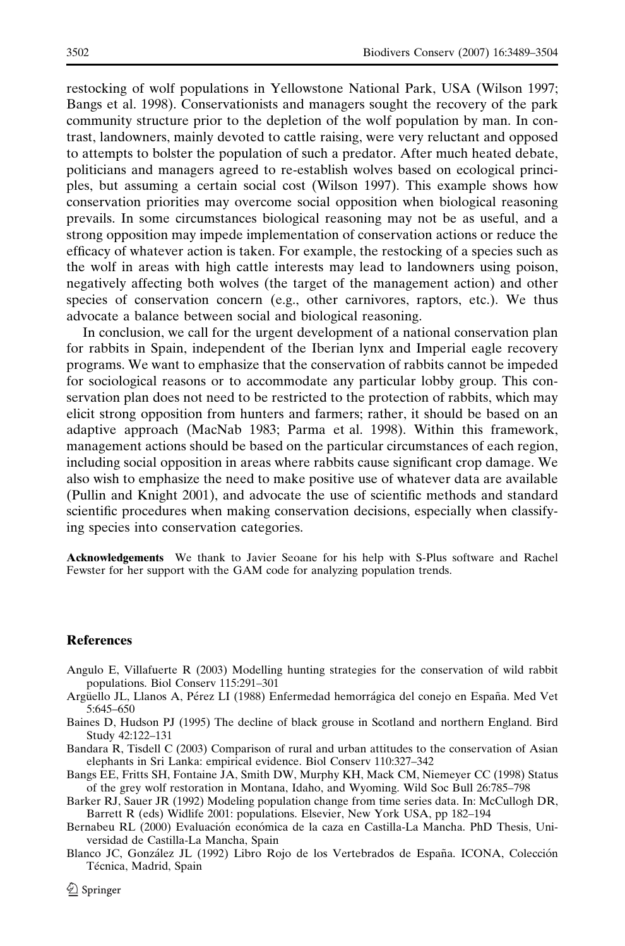restocking of wolf populations in Yellowstone National Park, USA (Wilson 1997; Bangs et al. 1998). Conservationists and managers sought the recovery of the park community structure prior to the depletion of the wolf population by man. In contrast, landowners, mainly devoted to cattle raising, were very reluctant and opposed to attempts to bolster the population of such a predator. After much heated debate, politicians and managers agreed to re-establish wolves based on ecological principles, but assuming a certain social cost (Wilson 1997). This example shows how conservation priorities may overcome social opposition when biological reasoning prevails. In some circumstances biological reasoning may not be as useful, and a strong opposition may impede implementation of conservation actions or reduce the efficacy of whatever action is taken. For example, the restocking of a species such as the wolf in areas with high cattle interests may lead to landowners using poison, negatively affecting both wolves (the target of the management action) and other species of conservation concern (e.g., other carnivores, raptors, etc.). We thus advocate a balance between social and biological reasoning.

In conclusion, we call for the urgent development of a national conservation plan for rabbits in Spain, independent of the Iberian lynx and Imperial eagle recovery programs. We want to emphasize that the conservation of rabbits cannot be impeded for sociological reasons or to accommodate any particular lobby group. This conservation plan does not need to be restricted to the protection of rabbits, which may elicit strong opposition from hunters and farmers; rather, it should be based on an adaptive approach (MacNab 1983; Parma et al. 1998). Within this framework, management actions should be based on the particular circumstances of each region, including social opposition in areas where rabbits cause significant crop damage. We also wish to emphasize the need to make positive use of whatever data are available (Pullin and Knight 2001), and advocate the use of scientific methods and standard scientific procedures when making conservation decisions, especially when classifying species into conservation categories.

Acknowledgements We thank to Javier Seoane for his help with S-Plus software and Rachel Fewster for her support with the GAM code for analyzing population trends.

#### References

- Angulo E, Villafuerte R (2003) Modelling hunting strategies for the conservation of wild rabbit populations. Biol Conserv 115:291–301
- Argüello JL, Llanos A, Pérez LI (1988) Enfermedad hemorrágica del conejo en España. Med Vet 5:645–650
- Baines D, Hudson PJ (1995) The decline of black grouse in Scotland and northern England. Bird Study 42:122–131
- Bandara R, Tisdell C (2003) Comparison of rural and urban attitudes to the conservation of Asian elephants in Sri Lanka: empirical evidence. Biol Conserv 110:327–342
- Bangs EE, Fritts SH, Fontaine JA, Smith DW, Murphy KH, Mack CM, Niemeyer CC (1998) Status of the grey wolf restoration in Montana, Idaho, and Wyoming. Wild Soc Bull 26:785–798
- Barker RJ, Sauer JR (1992) Modeling population change from time series data. In: McCullogh DR, Barrett R (eds) Widlife 2001: populations. Elsevier, New York USA, pp 182–194
- Bernabeu RL (2000) Evaluación económica de la caza en Castilla-La Mancha. PhD Thesis, Universidad de Castilla-La Mancha, Spain
- Blanco JC, González JL (1992) Libro Rojo de los Vertebrados de España. ICONA, Colección Técnica, Madrid, Spain

 $\mathcal{D}$  Springer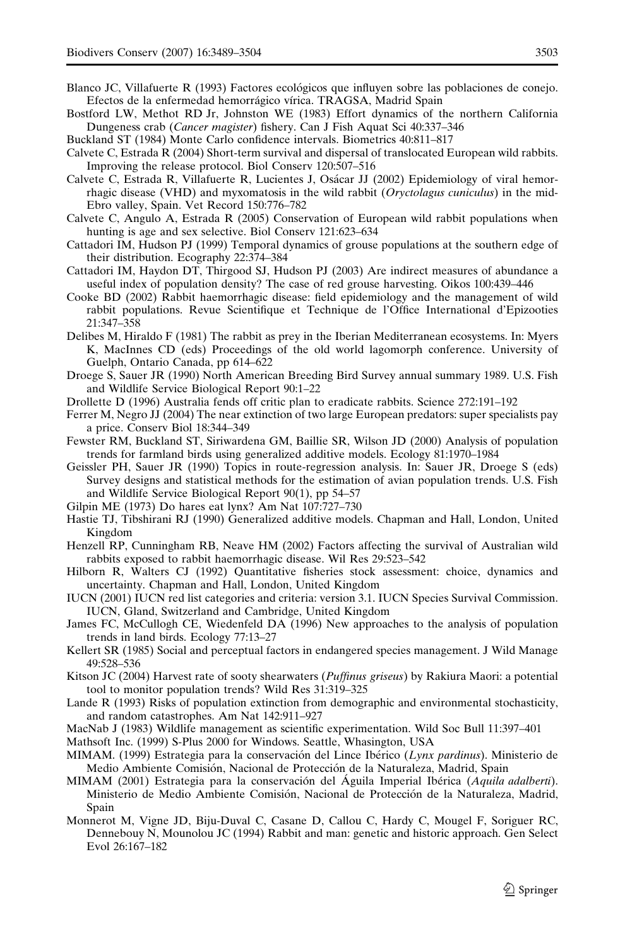- Blanco JC, Villafuerte R (1993) Factores ecológicos que influyen sobre las poblaciones de conejo. Efectos de la enfermedad hemorrágico vírica. TRAGSA, Madrid Spain
- Bostford LW, Methot RD Jr, Johnston WE (1983) Effort dynamics of the northern California Dungeness crab (Cancer magister) fishery. Can J Fish Aquat Sci 40:337–346

Buckland ST (1984) Monte Carlo confidence intervals. Biometrics 40:811–817

- Calvete C, Estrada R (2004) Short-term survival and dispersal of translocated European wild rabbits. Improving the release protocol. Biol Conserv 120:507–516
- Calvete C, Estrada R, Villafuerte R, Lucientes J, Osácar JJ (2002) Epidemiology of viral hemorrhagic disease (VHD) and myxomatosis in the wild rabbit (Oryctolagus cuniculus) in the mid-Ebro valley, Spain. Vet Record 150:776–782
- Calvete C, Angulo A, Estrada R (2005) Conservation of European wild rabbit populations when hunting is age and sex selective. Biol Conserv 121:623–634
- Cattadori IM, Hudson PJ (1999) Temporal dynamics of grouse populations at the southern edge of their distribution. Ecography 22:374–384
- Cattadori IM, Haydon DT, Thirgood SJ, Hudson PJ (2003) Are indirect measures of abundance a useful index of population density? The case of red grouse harvesting. Oikos 100:439–446
- Cooke BD (2002) Rabbit haemorrhagic disease: field epidemiology and the management of wild rabbit populations. Revue Scientifique et Technique de l'Office International d'Epizooties 21:347–358
- Delibes M, Hiraldo F (1981) The rabbit as prey in the Iberian Mediterranean ecosystems. In: Myers K, MacInnes CD (eds) Proceedings of the old world lagomorph conference. University of Guelph, Ontario Canada, pp 614–622
- Droege S, Sauer JR (1990) North American Breeding Bird Survey annual summary 1989. U.S. Fish and Wildlife Service Biological Report 90:1–22
- Drollette D (1996) Australia fends off critic plan to eradicate rabbits. Science 272:191–192
- Ferrer M, Negro JJ (2004) The near extinction of two large European predators: super specialists pay a price. Conserv Biol 18:344–349
- Fewster RM, Buckland ST, Siriwardena GM, Baillie SR, Wilson JD (2000) Analysis of population trends for farmland birds using generalized additive models. Ecology 81:1970–1984
- Geissler PH, Sauer JR (1990) Topics in route-regression analysis. In: Sauer JR, Droege S (eds) Survey designs and statistical methods for the estimation of avian population trends. U.S. Fish and Wildlife Service Biological Report 90(1), pp 54–57
- Gilpin ME (1973) Do hares eat lynx? Am Nat 107:727–730
- Hastie TJ, Tibshirani RJ (1990) Generalized additive models. Chapman and Hall, London, United Kingdom
- Henzell RP, Cunningham RB, Neave HM (2002) Factors affecting the survival of Australian wild rabbits exposed to rabbit haemorrhagic disease. Wil Res 29:523–542
- Hilborn R, Walters CJ (1992) Quantitative fisheries stock assessment: choice, dynamics and uncertainty. Chapman and Hall, London, United Kingdom
- IUCN (2001) IUCN red list categories and criteria: version 3.1. IUCN Species Survival Commission. IUCN, Gland, Switzerland and Cambridge, United Kingdom
- James FC, McCullogh CE, Wiedenfeld DA (1996) New approaches to the analysis of population trends in land birds. Ecology 77:13–27
- Kellert SR (1985) Social and perceptual factors in endangered species management. J Wild Manage 49:528–536
- Kitson JC (2004) Harvest rate of sooty shearwaters (Puffinus griseus) by Rakiura Maori: a potential tool to monitor population trends? Wild Res 31:319–325
- Lande R (1993) Risks of population extinction from demographic and environmental stochasticity, and random catastrophes. Am Nat 142:911–927
- MacNab J (1983) Wildlife management as scientific experimentation. Wild Soc Bull 11:397–401
- Mathsoft Inc. (1999) S-Plus 2000 for Windows. Seattle, Whasington, USA
- MIMAM. (1999) Estrategia para la conservación del Lince Ibérico (Lynx pardinus). Ministerio de Medio Ambiente Comisión, Nacional de Protección de la Naturaleza, Madrid, Spain
- MIMAM (2001) Estrategia para la conservación del Águila Imperial Ibérica (Aquila adalberti). Ministerio de Medio Ambiente Comisión, Nacional de Protección de la Naturaleza, Madrid, Spain
- Monnerot M, Vigne JD, Biju-Duval C, Casane D, Callou C, Hardy C, Mougel F, Soriguer RC, Dennebouy N, Mounolou JC (1994) Rabbit and man: genetic and historic approach. Gen Select Evol 26:167–182